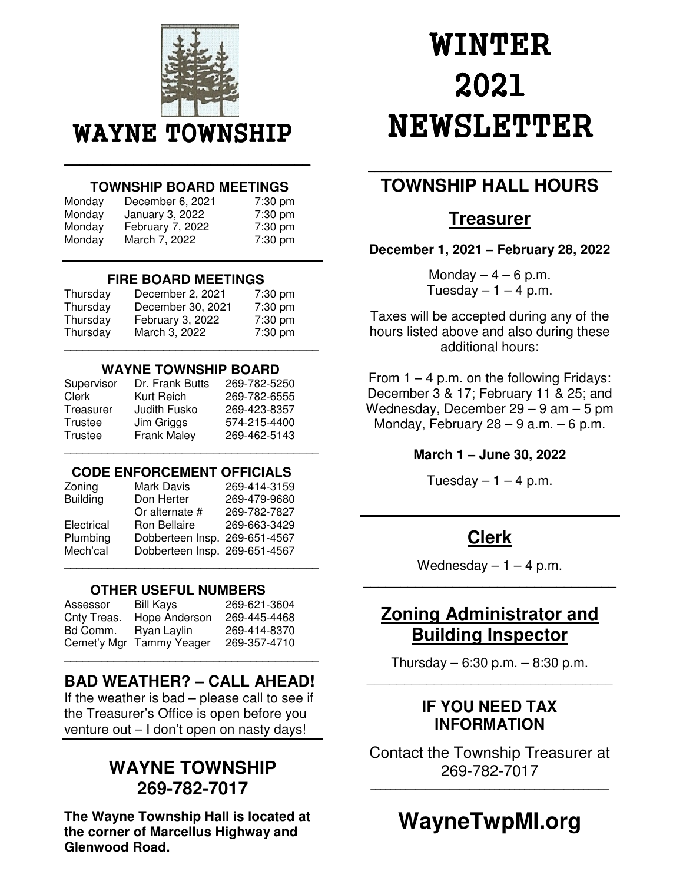

#### \_\_\_\_\_\_\_\_\_\_\_\_\_\_\_\_\_\_\_\_\_\_\_\_\_\_\_\_\_\_\_\_ \_\_\_\_\_\_\_\_\_\_\_\_\_\_\_\_\_\_\_\_\_\_\_\_\_\_\_\_\_\_\_\_  **TOWNSHIP BOARD MEETINGS**

| Monday | December 6, 2021 | 7:30 pm   |
|--------|------------------|-----------|
| Monday | January 3, 2022  | $7:30$ pm |
| Monday | February 7, 2022 | 7:30 pm   |
| Monday | March 7, 2022    | 7:30 pm   |

#### **FIRE BOARD MEETINGS**

| Thursday | December 2, 2021  | 7:30 pm |
|----------|-------------------|---------|
| Thursday | December 30, 2021 | 7:30 pm |
| Thursday | February 3, 2022  | 7:30 pm |
| Thursday | March 3, 2022     | 7:30 pm |

#### **WAYNE TOWNSHIP BOARD**

| Supervisor   | Dr. Frank Butts | 269-782-5250 |
|--------------|-----------------|--------------|
| <b>Clerk</b> | Kurt Reich      | 269-782-6555 |
| Treasurer    | Judith Fusko    | 269-423-8357 |
| Trustee      | Jim Griggs      | 574-215-4400 |
| Trustee      | Frank Maley     | 269-462-5143 |

### **CODE ENFORCEMENT OFFICIALS**

\_\_\_\_\_\_\_\_\_\_\_\_\_\_\_\_\_\_\_\_\_\_\_\_\_\_\_\_\_\_\_\_\_\_\_\_\_\_\_\_\_

| Zoning          | Mark Davis                    | 269-414-3159 |
|-----------------|-------------------------------|--------------|
| <b>Building</b> | Don Herter                    | 269-479-9680 |
|                 | Or alternate #                | 269-782-7827 |
| Electrical      | Ron Bellaire                  | 269-663-3429 |
| Plumbing        | Dobberteen Insp. 269-651-4567 |              |
| Mech'cal        | Dobberteen Insp. 269-651-4567 |              |
|                 |                               |              |

### **OTHER USEFUL NUMBERS**

| Assessor    | Bill Kays                | 269-621-3604 |
|-------------|--------------------------|--------------|
| Cnty Treas. | Hope Anderson            | 269-445-4468 |
| Bd Comm.    | Ryan Laylin              | 269-414-8370 |
|             | Cemet'y Mgr Tammy Yeager | 269-357-4710 |

### **BAD WEATHER? – CALL AHEAD!**

**\_\_\_\_\_\_\_\_\_\_\_\_\_\_\_\_\_\_\_\_\_\_\_\_\_\_\_\_\_\_\_\_\_\_\_\_\_\_\_\_\_** 

If the weather is bad – please call to see if the Treasurer's Office is open before you venture out – I don't open on nasty days!

# **WAYNE TOWNSHIP 269-782-7017**

**The Wayne Township Hall is located at the corner of Marcellus Highway and Glenwood Road.**

# WINTER 2021 **NEWSLETTER**

# **TOWNSHIP HALL HOURS**

### **Treasurer**

**December 1, 2021 – February 28, 2022** 

Monday  $-4 - 6$  p.m. Tuesday  $-1 - 4$  p.m.

Taxes will be accepted during any of the hours listed above and also during these additional hours:

From  $1 - 4$  p.m. on the following Fridays: December 3 & 17; February 11 & 25; and Wednesday, December 29 – 9 am – 5 pm Monday, February  $28 - 9$  a.m.  $-6$  p.m.

### **March 1 – June 30, 2022**

Tuesday  $-1 - 4$  p.m.

# **Clerk**

Wednesday  $-1 - 4$  p.m. \_\_\_\_\_\_\_\_\_\_\_\_\_\_\_\_\_\_\_\_\_\_\_\_\_\_\_\_\_\_\_\_\_\_

# **Zoning Administrator and Building Inspector**

Thursday – 6:30 p.m. – 8:30 p.m. \_\_\_\_\_\_\_\_\_\_\_\_\_\_\_\_\_\_\_\_\_\_\_\_\_\_\_\_\_\_\_\_\_

### **IF YOU NEED TAX INFORMATION**

Contact the Township Treasurer at 269-782-7017

 $\overline{a_1}$  ,  $\overline{a_2}$  ,  $\overline{a_3}$  ,  $\overline{a_4}$  ,  $\overline{a_5}$  ,  $\overline{a_6}$  ,  $\overline{a_7}$  ,  $\overline{a_8}$  ,  $\overline{a_9}$  ,  $\overline{a_9}$  ,  $\overline{a_9}$  ,  $\overline{a_9}$  ,  $\overline{a_9}$  ,  $\overline{a_9}$  ,  $\overline{a_9}$  ,  $\overline{a_9}$  ,  $\overline{a_9}$  ,

# **WayneTwpMI.org**